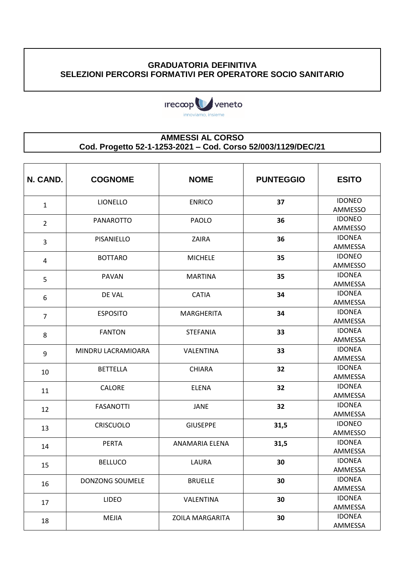## **GRADUATORIA DEFINITIVA SELEZIONI PERCORSI FORMATIVI PER OPERATORE SOCIO SANITARIO**



## **AMMESSI AL CORSO Cod. Progetto 52-1-1253-2021 – Cod. Corso 52/003/1129/DEC/21**

| N. CAND.       | <b>COGNOME</b>     | <b>NOME</b>            | <b>PUNTEGGIO</b> | <b>ESITO</b>             |
|----------------|--------------------|------------------------|------------------|--------------------------|
| $\mathbf{1}$   | LIONELLO           | <b>ENRICO</b>          | 37               | <b>IDONEO</b><br>AMMESSO |
|                | <b>PANAROTTO</b>   | <b>PAOLO</b>           | 36               | <b>IDONEO</b>            |
| $\overline{2}$ |                    |                        |                  | <b>AMMESSO</b>           |
| 3              | PISANIELLO         | ZAIRA                  | 36               | <b>IDONEA</b>            |
|                |                    |                        |                  | AMMESSA                  |
| 4              | <b>BOTTARO</b>     | <b>MICHELE</b>         | 35               | <b>IDONEO</b><br>AMMESSO |
|                | <b>PAVAN</b>       | <b>MARTINA</b>         | 35               | <b>IDONEA</b>            |
| 5              |                    |                        |                  | AMMESSA                  |
| 6              | DE VAL             | <b>CATIA</b>           | 34               | <b>IDONEA</b>            |
|                |                    |                        |                  | AMMESSA                  |
| $\overline{7}$ | <b>ESPOSITO</b>    | <b>MARGHERITA</b>      | 34               | <b>IDONEA</b>            |
|                |                    |                        |                  | AMMESSA                  |
| 8              | <b>FANTON</b>      | <b>STEFANIA</b>        | 33               | <b>IDONEA</b>            |
|                |                    |                        |                  | AMMESSA                  |
| 9              | MINDRU LACRAMIOARA | VALENTINA              | 33               | <b>IDONEA</b><br>AMMESSA |
|                | <b>BETTELLA</b>    | <b>CHIARA</b>          | 32               | <b>IDONEA</b>            |
| 10             |                    |                        |                  | AMMESSA                  |
| 11             | <b>CALORE</b>      | <b>ELENA</b>           | 32               | <b>IDONEA</b>            |
|                |                    |                        |                  | AMMESSA                  |
| 12             | <b>FASANOTTI</b>   | <b>JANE</b>            | 32               | <b>IDONEA</b>            |
|                |                    |                        |                  | AMMESSA                  |
| 13             | <b>CRISCUOLO</b>   | <b>GIUSEPPE</b>        | 31,5             | <b>IDONEO</b>            |
|                |                    |                        |                  | AMMESSO                  |
| 14             | <b>PERTA</b>       | <b>ANAMARIA ELENA</b>  | 31,5             | <b>IDONEA</b>            |
|                |                    |                        |                  | AMMESSA<br><b>IDONEA</b> |
| 15             | <b>BELLUCO</b>     | LAURA                  | 30               | AMMESSA                  |
|                | DONZONG SOUMELE    | <b>BRUELLE</b>         | 30               | <b>IDONEA</b>            |
| 16             |                    |                        |                  | AMMESSA                  |
| 17             | LIDEO              | VALENTINA              | 30               | <b>IDONEA</b>            |
|                |                    |                        |                  | AMMESSA                  |
| 18             | MEJIA              | <b>ZOILA MARGARITA</b> | 30               | <b>IDONEA</b>            |
|                |                    |                        |                  | AMMESSA                  |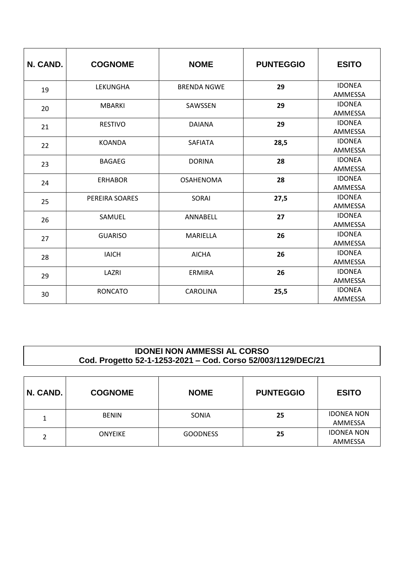| N. CAND. | <b>COGNOME</b> | <b>NOME</b>        | <b>PUNTEGGIO</b> | <b>ESITO</b>             |
|----------|----------------|--------------------|------------------|--------------------------|
| 19       | LEKUNGHA       | <b>BRENDA NGWE</b> | 29               | <b>IDONEA</b><br>AMMESSA |
| 20       | <b>MBARKI</b>  | SAWSSEN            | 29               | <b>IDONEA</b><br>AMMESSA |
| 21       | <b>RESTIVO</b> | <b>DAIANA</b>      | 29               | <b>IDONEA</b><br>AMMESSA |
| 22       | <b>KOANDA</b>  | <b>SAFIATA</b>     | 28,5             | <b>IDONEA</b><br>AMMESSA |
| 23       | <b>BAGAEG</b>  | <b>DORINA</b>      | 28               | <b>IDONEA</b><br>AMMESSA |
| 24       | <b>ERHABOR</b> | <b>OSAHENOMA</b>   | 28               | <b>IDONEA</b><br>AMMESSA |
| 25       | PEREIRA SOARES | <b>SORAI</b>       | 27,5             | <b>IDONEA</b><br>AMMESSA |
| 26       | SAMUEL         | ANNABELL           | 27               | <b>IDONEA</b><br>AMMESSA |
| 27       | <b>GUARISO</b> | MARIELLA           | 26               | <b>IDONEA</b><br>AMMESSA |
| 28       | <b>IAICH</b>   | <b>AICHA</b>       | 26               | <b>IDONEA</b><br>AMMESSA |
| 29       | LAZRI          | <b>ERMIRA</b>      | 26               | <b>IDONEA</b><br>AMMESSA |
| 30       | <b>RONCATO</b> | <b>CAROLINA</b>    | 25,5             | <b>IDONEA</b><br>AMMESSA |

## **IDONEI NON AMMESSI AL CORSO Cod. Progetto 52-1-1253-2021 – Cod. Corso 52/003/1129/DEC/21**

| N. CAND. | <b>COGNOME</b> | <b>NOME</b>     | <b>PUNTEGGIO</b> | <b>ESITO</b>                 |
|----------|----------------|-----------------|------------------|------------------------------|
| 1        | <b>BENIN</b>   | SONIA           | 25               | <b>IDONEA NON</b><br>AMMESSA |
| າ        | <b>ONYEIKE</b> | <b>GOODNESS</b> | 25               | <b>IDONEA NON</b><br>AMMESSA |